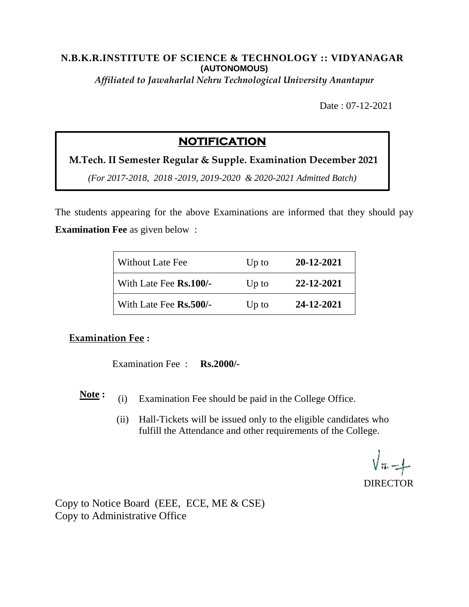### **N.B.K.R.INSTITUTE OF SCIENCE & TECHNOLOGY :: VIDYANAGAR (AUTONOMOUS)**

*Affiliated to Jawaharlal Nehru Technological University Anantapur*

Date : 07-12-2021

# **NOTIFICATION**

**M.Tech. II Semester Regular & Supple. Examination December 2021**

*(For 2017-2018, 2018 -2019, 2019-2020 & 2020-2021 Admitted Batch)*

The students appearing for the above Examinations are informed that they should pay **Examination Fee** as given below :

| <b>Without Late Fee</b> | $Up$ to | 20-12-2021 |
|-------------------------|---------|------------|
| With Late Fee Rs.100/-  | $Up$ to | 22-12-2021 |
| With Late Fee Rs.500/-  | $Up$ to | 24-12-2021 |

# **Examination Fee :**

Examination Fee : **Rs.2000/-**

- **Note :** (i) Examination Fee should be paid in the College Office.
	- (ii) Hall-Tickets will be issued only to the eligible candidates who fulfill the Attendance and other requirements of the College.

**DIRECTOR** 

Copy to Notice Board (EEE, ECE, ME & CSE) Copy to Administrative Office